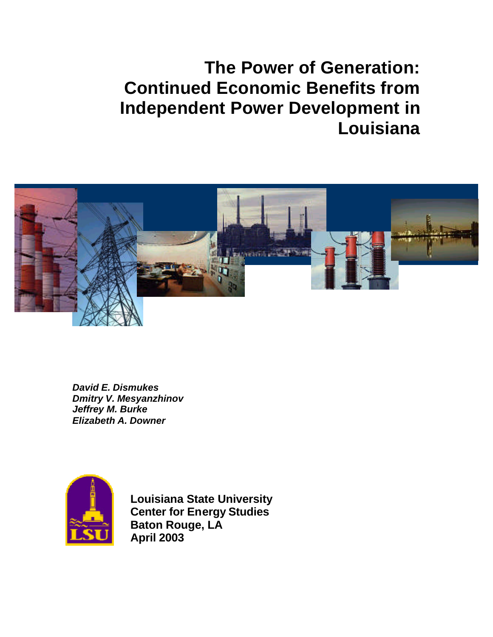# **The Power of Generation: Continued Economic Benefits from Independent Power Development in Louisiana**



*David E. Dismukes Dmitry V. Mesyanzhinov Jeffrey M. Burke Elizabeth A. Downer*



**Louisiana State University Center for Energy Studies Baton Rouge, LA April 2003**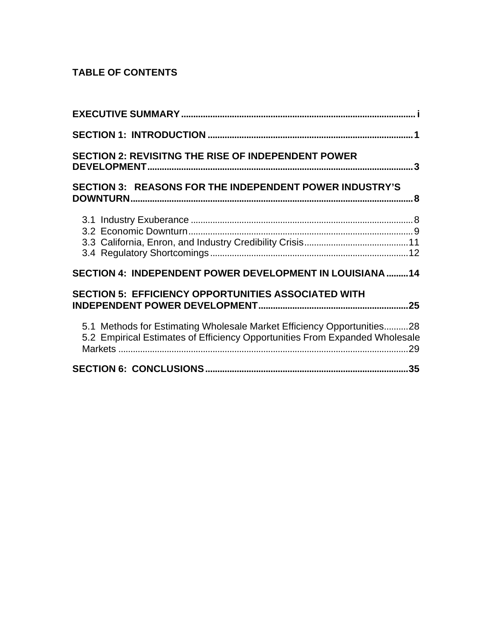# **TABLE OF CONTENTS**

| <b>SECTION 2: REVISITNG THE RISE OF INDEPENDENT POWER</b>                                                                                             |
|-------------------------------------------------------------------------------------------------------------------------------------------------------|
| SECTION 3: REASONS FOR THE INDEPENDENT POWER INDUSTRY'S                                                                                               |
|                                                                                                                                                       |
| SECTION 4: INDEPENDENT POWER DEVELOPMENT IN LOUISIANA 14                                                                                              |
| <b>SECTION 5: EFFICIENCY OPPORTUNITIES ASSOCIATED WITH</b>                                                                                            |
| 5.1 Methods for Estimating Wholesale Market Efficiency Opportunities28<br>5.2 Empirical Estimates of Efficiency Opportunities From Expanded Wholesale |
|                                                                                                                                                       |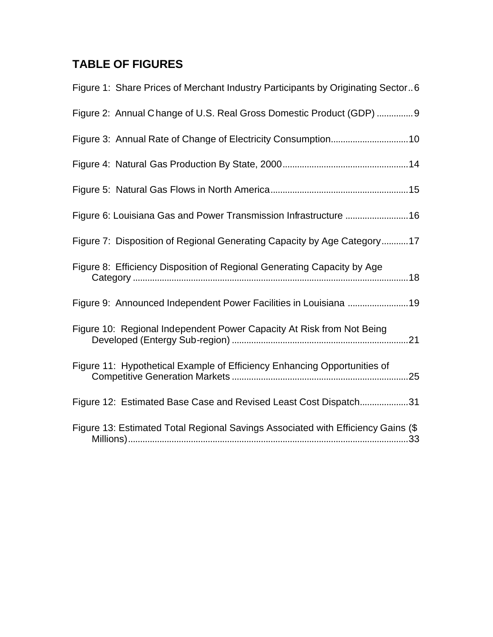# **TABLE OF FIGURES**

| Figure 1: Share Prices of Merchant Industry Participants by Originating Sector6  |
|----------------------------------------------------------------------------------|
| Figure 2: Annual Change of U.S. Real Gross Domestic Product (GDP)  9             |
|                                                                                  |
|                                                                                  |
|                                                                                  |
| Figure 6: Louisiana Gas and Power Transmission Infrastructure 16                 |
| Figure 7: Disposition of Regional Generating Capacity by Age Category17          |
| Figure 8: Efficiency Disposition of Regional Generating Capacity by Age          |
| Figure 9: Announced Independent Power Facilities in Louisiana 19                 |
| Figure 10: Regional Independent Power Capacity At Risk from Not Being            |
| Figure 11: Hypothetical Example of Efficiency Enhancing Opportunities of         |
| Figure 12: Estimated Base Case and Revised Least Cost Dispatch31                 |
| Figure 13: Estimated Total Regional Savings Associated with Efficiency Gains (\$ |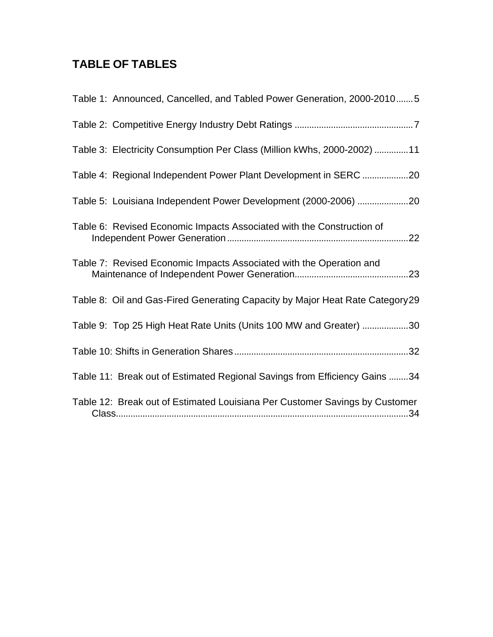# **TABLE OF TABLES**

| Table 1: Announced, Cancelled, and Tabled Power Generation, 2000-20105        |
|-------------------------------------------------------------------------------|
|                                                                               |
| Table 3: Electricity Consumption Per Class (Million kWhs, 2000-2002) 11       |
| Table 4: Regional Independent Power Plant Development in SERC 20              |
| Table 5: Louisiana Independent Power Development (2000-2006) 20               |
| Table 6: Revised Economic Impacts Associated with the Construction of         |
| Table 7: Revised Economic Impacts Associated with the Operation and           |
| Table 8: Oil and Gas-Fired Generating Capacity by Major Heat Rate Category 29 |
| Table 9: Top 25 High Heat Rate Units (Units 100 MW and Greater) 30            |
|                                                                               |
| Table 11: Break out of Estimated Regional Savings from Efficiency Gains 34    |
| Table 12: Break out of Estimated Louisiana Per Customer Savings by Customer   |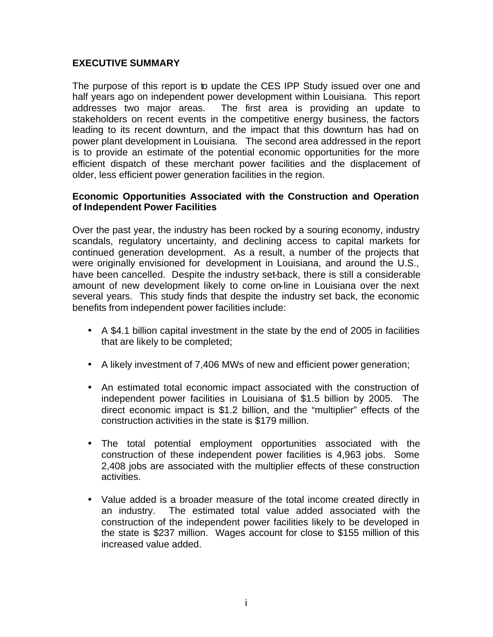# **EXECUTIVE SUMMARY**

The purpose of this report is to update the CES IPP Study issued over one and half years ago on independent power development within Louisiana. This report addresses two major areas. The first area is providing an update to stakeholders on recent events in the competitive energy business, the factors leading to its recent downturn, and the impact that this downturn has had on power plant development in Louisiana. The second area addressed in the report is to provide an estimate of the potential economic opportunities for the more efficient dispatch of these merchant power facilities and the displacement of older, less efficient power generation facilities in the region.

#### **Economic Opportunities Associated with the Construction and Operation of Independent Power Facilities**

Over the past year, the industry has been rocked by a souring economy, industry scandals, regulatory uncertainty, and declining access to capital markets for continued generation development. As a result, a number of the projects that were originally envisioned for development in Louisiana, and around the U.S., have been cancelled. Despite the industry set-back, there is still a considerable amount of new development likely to come on-line in Louisiana over the next several years. This study finds that despite the industry set back, the economic benefits from independent power facilities include:

- A \$4.1 billion capital investment in the state by the end of 2005 in facilities that are likely to be completed;
- A likely investment of 7,406 MWs of new and efficient power generation;
- An estimated total economic impact associated with the construction of independent power facilities in Louisiana of \$1.5 billion by 2005. The direct economic impact is \$1.2 billion, and the "multiplier" effects of the construction activities in the state is \$179 million.
- The total potential employment opportunities associated with the construction of these independent power facilities is 4,963 jobs. Some 2,408 jobs are associated with the multiplier effects of these construction activities.
- Value added is a broader measure of the total income created directly in an industry. The estimated total value added associated with the construction of the independent power facilities likely to be developed in the state is \$237 million. Wages account for close to \$155 million of this increased value added.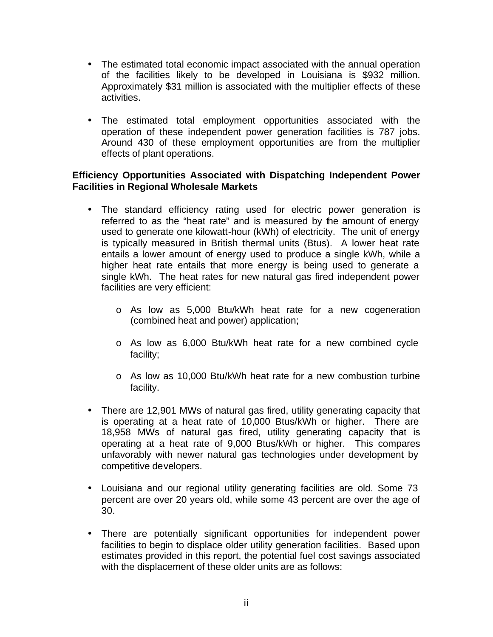- The estimated total economic impact associated with the annual operation of the facilities likely to be developed in Louisiana is \$932 million. Approximately \$31 million is associated with the multiplier effects of these activities.
- The estimated total employment opportunities associated with the operation of these independent power generation facilities is 787 jobs. Around 430 of these employment opportunities are from the multiplier effects of plant operations.

# **Efficiency Opportunities Associated with Dispatching Independent Power Facilities in Regional Wholesale Markets**

- The standard efficiency rating used for electric power generation is referred to as the "heat rate" and is measured by the amount of energy used to generate one kilowatt-hour (kWh) of electricity. The unit of energy is typically measured in British thermal units (Btus). A lower heat rate entails a lower amount of energy used to produce a single kWh, while a higher heat rate entails that more energy is being used to generate a single kWh. The heat rates for new natural gas fired independent power facilities are very efficient:
	- o As low as 5,000 Btu/kWh heat rate for a new cogeneration (combined heat and power) application;
	- o As low as 6,000 Btu/kWh heat rate for a new combined cycle facility;
	- o As low as 10,000 Btu/kWh heat rate for a new combustion turbine facility.
- There are 12,901 MWs of natural gas fired, utility generating capacity that is operating at a heat rate of 10,000 Btus/kWh or higher. There are 18,958 MWs of natural gas fired, utility generating capacity that is operating at a heat rate of 9,000 Btus/kWh or higher. This compares unfavorably with newer natural gas technologies under development by competitive developers.
- Louisiana and our regional utility generating facilities are old. Some 73 percent are over 20 years old, while some 43 percent are over the age of 30.
- There are potentially significant opportunities for independent power facilities to begin to displace older utility generation facilities. Based upon estimates provided in this report, the potential fuel cost savings associated with the displacement of these older units are as follows: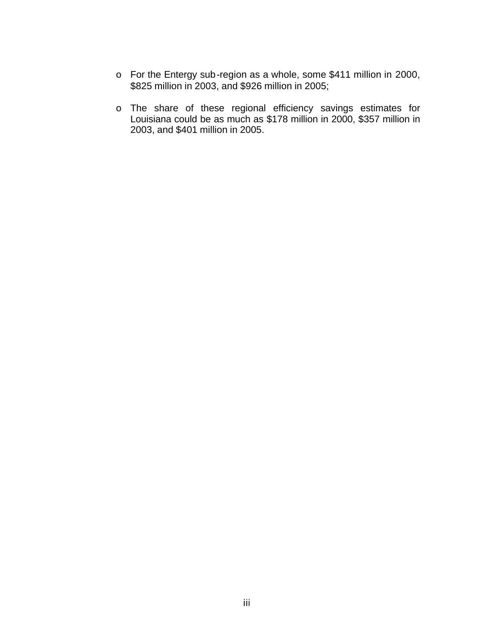- o For the Entergy sub-region as a whole, some \$411 million in 2000, \$825 million in 2003, and \$926 million in 2005;
- o The share of these regional efficiency savings estimates for Louisiana could be as much as \$178 million in 2000, \$357 million in 2003, and \$401 million in 2005.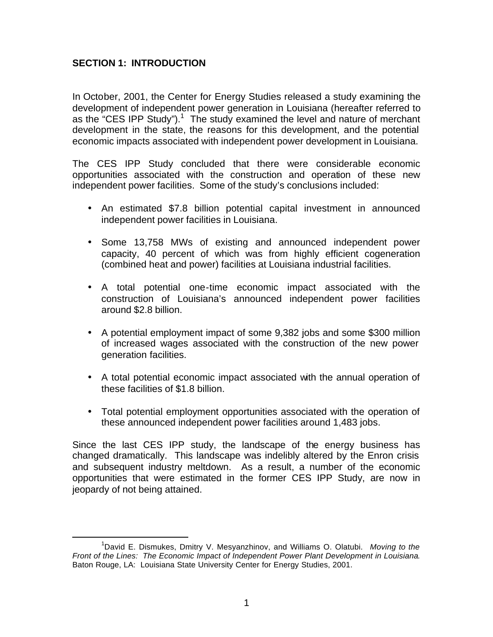# **SECTION 1: INTRODUCTION**

 $\overline{a}$ 

In October, 2001, the Center for Energy Studies released a study examining the development of independent power generation in Louisiana (hereafter referred to as the "CES IPP Study").<sup>1</sup> The study examined the level and nature of merchant development in the state, the reasons for this development, and the potential economic impacts associated with independent power development in Louisiana.

The CES IPP Study concluded that there were considerable economic opportunities associated with the construction and operation of these new independent power facilities. Some of the study's conclusions included:

- An estimated \$7.8 billion potential capital investment in announced independent power facilities in Louisiana.
- Some 13,758 MWs of existing and announced independent power capacity, 40 percent of which was from highly efficient cogeneration (combined heat and power) facilities at Louisiana industrial facilities.
- A total potential one-time economic impact associated with the construction of Louisiana's announced independent power facilities around \$2.8 billion.
- A potential employment impact of some 9,382 jobs and some \$300 million of increased wages associated with the construction of the new power generation facilities.
- A total potential economic impact associated with the annual operation of these facilities of \$1.8 billion.
- Total potential employment opportunities associated with the operation of these announced independent power facilities around 1,483 jobs.

Since the last CES IPP study, the landscape of the energy business has changed dramatically. This landscape was indelibly altered by the Enron crisis and subsequent industry meltdown. As a result, a number of the economic opportunities that were estimated in the former CES IPP Study, are now in jeopardy of not being attained.

<sup>1</sup>David E. Dismukes, Dmitry V. Mesyanzhinov, and Williams O. Olatubi. *Moving to the Front of the Lines: The Economic Impact of Independent Power Plant Development in Louisiana*. Baton Rouge, LA: Louisiana State University Center for Energy Studies, 2001.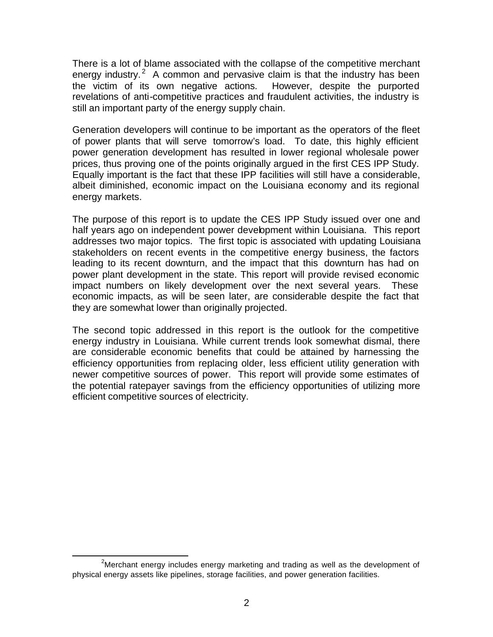There is a lot of blame associated with the collapse of the competitive merchant energy industry.<sup>2</sup> A common and pervasive claim is that the industry has been the victim of its own negative actions. However, despite the purported revelations of anti-competitive practices and fraudulent activities, the industry is still an important party of the energy supply chain.

Generation developers will continue to be important as the operators of the fleet of power plants that will serve tomorrow's load. To date, this highly efficient power generation development has resulted in lower regional wholesale power prices, thus proving one of the points originally argued in the first CES IPP Study. Equally important is the fact that these IPP facilities will still have a considerable, albeit diminished, economic impact on the Louisiana economy and its regional energy markets.

The purpose of this report is to update the CES IPP Study issued over one and half years ago on independent power development within Louisiana. This report addresses two major topics. The first topic is associated with updating Louisiana stakeholders on recent events in the competitive energy business, the factors leading to its recent downturn, and the impact that this downturn has had on power plant development in the state. This report will provide revised economic impact numbers on likely development over the next several years. These economic impacts, as will be seen later, are considerable despite the fact that they are somewhat lower than originally projected.

The second topic addressed in this report is the outlook for the competitive energy industry in Louisiana. While current trends look somewhat dismal, there are considerable economic benefits that could be attained by harnessing the efficiency opportunities from replacing older, less efficient utility generation with newer competitive sources of power. This report will provide some estimates of the potential ratepayer savings from the efficiency opportunities of utilizing more efficient competitive sources of electricity.

 $2$ Merchant energy includes energy marketing and trading as well as the development of physical energy assets like pipelines, storage facilities, and power generation facilities.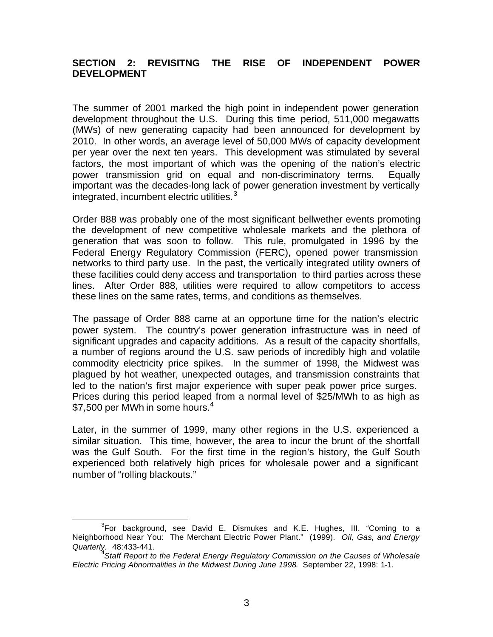# **SECTION 2: REVISITNG THE RISE OF INDEPENDENT POWER DEVELOPMENT**

The summer of 2001 marked the high point in independent power generation development throughout the U.S. During this time period, 511,000 megawatts (MWs) of new generating capacity had been announced for development by 2010. In other words, an average level of 50,000 MWs of capacity development per year over the next ten years. This development was stimulated by several factors, the most important of which was the opening of the nation's electric power transmission grid on equal and non-discriminatory terms. Equally important was the decades-long lack of power generation investment by vertically integrated, incumbent electric utilities. $3$ 

Order 888 was probably one of the most significant bellwether events promoting the development of new competitive wholesale markets and the plethora of generation that was soon to follow. This rule, promulgated in 1996 by the Federal Energy Regulatory Commission (FERC), opened power transmission networks to third party use. In the past, the vertically integrated utility owners of these facilities could deny access and transportation to third parties across these lines. After Order 888, utilities were required to allow competitors to access these lines on the same rates, terms, and conditions as themselves.

The passage of Order 888 came at an opportune time for the nation's electric power system. The country's power generation infrastructure was in need of significant upgrades and capacity additions. As a result of the capacity shortfalls, a number of regions around the U.S. saw periods of incredibly high and volatile commodity electricity price spikes. In the summer of 1998, the Midwest was plagued by hot weather, unexpected outages, and transmission constraints that led to the nation's first major experience with super peak power price surges. Prices during this period leaped from a normal level of \$25/MWh to as high as \$7,500 per MWh in some hours. $4$ 

Later, in the summer of 1999, many other regions in the U.S. experienced a similar situation. This time, however, the area to incur the brunt of the shortfall was the Gulf South. For the first time in the region's history, the Gulf South experienced both relatively high prices for wholesale power and a significant number of "rolling blackouts."

 ${}^{3}$ For background, see David E. Dismukes and K.E. Hughes, III. "Coming to a Neighborhood Near You: The Merchant Electric Power Plant." (1999). *Oil, Gas, and Energy Quarterly.* 48:433-441.

<sup>&</sup>lt;sup>4</sup> Staff Report to the Federal Energy Regulatory Commission on the Causes of Wholesale *Electric Pricing Abnormalities in the Midwest During June 1998*. September 22, 1998: 1-1.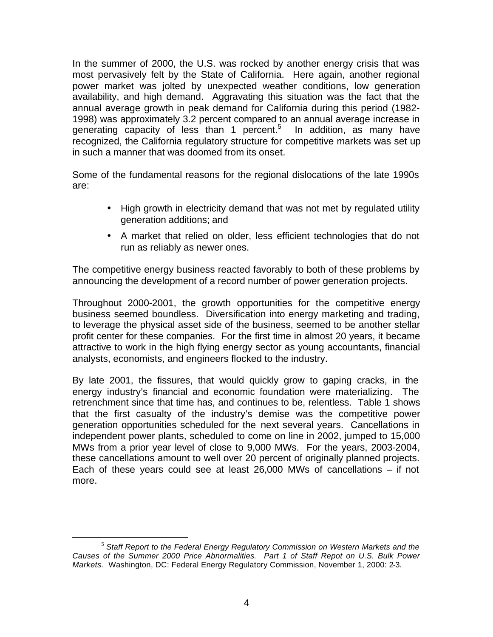In the summer of 2000, the U.S. was rocked by another energy crisis that was most pervasively felt by the State of California. Here again, another regional power market was jolted by unexpected weather conditions, low generation availability, and high demand. Aggravating this situation was the fact that the annual average growth in peak demand for California during this period (1982- 1998) was approximately 3.2 percent compared to an annual average increase in generating capacity of less than 1 percent.<sup>5</sup> In addition, as many have recognized, the California regulatory structure for competitive markets was set up in such a manner that was doomed from its onset.

Some of the fundamental reasons for the regional dislocations of the late 1990s are:

- High growth in electricity demand that was not met by regulated utility generation additions; and
- A market that relied on older, less efficient technologies that do not run as reliably as newer ones.

The competitive energy business reacted favorably to both of these problems by announcing the development of a record number of power generation projects.

Throughout 2000-2001, the growth opportunities for the competitive energy business seemed boundless. Diversification into energy marketing and trading, to leverage the physical asset side of the business, seemed to be another stellar profit center for these companies. For the first time in almost 20 years, it became attractive to work in the high flying energy sector as young accountants, financial analysts, economists, and engineers flocked to the industry.

By late 2001, the fissures, that would quickly grow to gaping cracks, in the energy industry's financial and economic foundation were materializing. The retrenchment since that time has, and continues to be, relentless. Table 1 shows that the first casualty of the industry's demise was the competitive power generation opportunities scheduled for the next several years. Cancellations in independent power plants, scheduled to come on line in 2002, jumped to 15,000 MWs from a prior year level of close to 9,000 MWs. For the years, 2003-2004, these cancellations amount to well over 20 percent of originally planned projects. Each of these years could see at least 26,000 MWs of cancellations – if not more.

<sup>5</sup> *Staff Report to the Federal Energy Regulatory Commission on Western Markets and the Causes of the Summer 2000 Price Abnormalities. Part 1 of Staff Repot on U.S. Bulk Power Markets.* Washington, DC: Federal Energy Regulatory Commission, November 1, 2000: 2-3.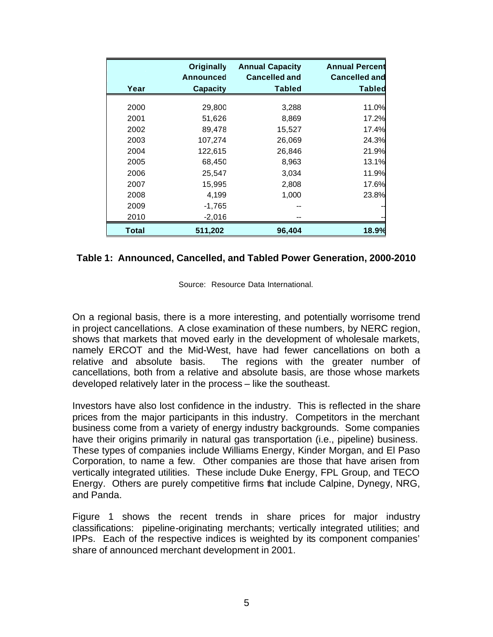|       | <b>Originally</b><br><b>Announced</b> | <b>Annual Capacity</b><br><b>Cancelled and</b> | <b>Annual Percent</b><br><b>Cancelled and</b> |
|-------|---------------------------------------|------------------------------------------------|-----------------------------------------------|
| Year  | <b>Capacity</b>                       | <b>Tabled</b>                                  | <b>Tabled</b>                                 |
| 2000  | 29,800                                | 3,288                                          | 11.0%                                         |
| 2001  | 51,626                                | 8,869                                          | 17.2%                                         |
| 2002  | 89,478                                | 15,527                                         | 17.4%                                         |
| 2003  | 107,274                               | 26,069                                         | 24.3%                                         |
| 2004  | 122,615                               | 26,846                                         | 21.9%                                         |
| 2005  | 68,450                                | 8,963                                          | 13.1%                                         |
| 2006  | 25,547                                | 3,034                                          | 11.9%                                         |
| 2007  | 15,995                                | 2,808                                          | 17.6%                                         |
| 2008  | 4,199                                 | 1,000                                          | 23.8%                                         |
| 2009  | $-1,765$                              |                                                |                                               |
| 2010  | $-2,016$                              |                                                |                                               |
| Total | 511,202                               | 96,404                                         | 18.9%                                         |

#### **Table 1: Announced, Cancelled, and Tabled Power Generation, 2000-2010**

Source: Resource Data International.

On a regional basis, there is a more interesting, and potentially worrisome trend in project cancellations. A close examination of these numbers, by NERC region, shows that markets that moved early in the development of wholesale markets, namely ERCOT and the Mid-West, have had fewer cancellations on both a relative and absolute basis. The regions with the greater number of cancellations, both from a relative and absolute basis, are those whose markets developed relatively later in the process – like the southeast.

Investors have also lost confidence in the industry. This is reflected in the share prices from the major participants in this industry. Competitors in the merchant business come from a variety of energy industry backgrounds. Some companies have their origins primarily in natural gas transportation (i.e., pipeline) business. These types of companies include Williams Energy, Kinder Morgan, and El Paso Corporation, to name a few. Other companies are those that have arisen from vertically integrated utilities. These include Duke Energy, FPL Group, and TECO Energy. Others are purely competitive firms that include Calpine, Dynegy, NRG, and Panda.

Figure 1 shows the recent trends in share prices for major industry classifications: pipeline-originating merchants; vertically integrated utilities; and IPPs. Each of the respective indices is weighted by its component companies' share of announced merchant development in 2001.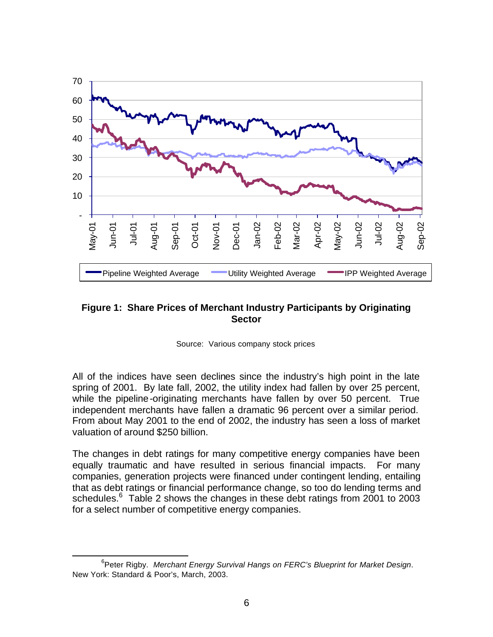

# **Figure 1: Share Prices of Merchant Industry Participants by Originating Sector**

Source: Various company stock prices

All of the indices have seen declines since the industry's high point in the late spring of 2001. By late fall, 2002, the utility index had fallen by over 25 percent, while the pipeline-originating merchants have fallen by over 50 percent. True independent merchants have fallen a dramatic 96 percent over a similar period. From about May 2001 to the end of 2002, the industry has seen a loss of market valuation of around \$250 billion.

The changes in debt ratings for many competitive energy companies have been equally traumatic and have resulted in serious financial impacts. For many companies, generation projects were financed under contingent lending, entailing that as debt ratings or financial performance change, so too do lending terms and schedules.<sup>6</sup> Table 2 shows the changes in these debt ratings from 2001 to 2003 for a select number of competitive energy companies.

 $\overline{a}$ 6 Peter Rigby. *Merchant Energy Survival Hangs on FERC's Blueprint for Market Design*. New York: Standard & Poor's, March, 2003.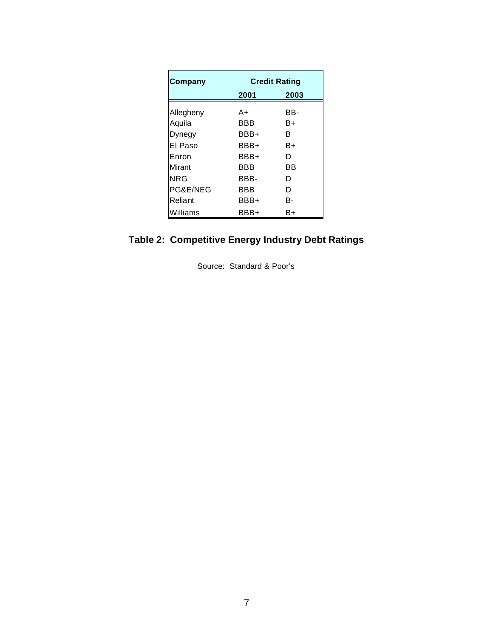| Company   | <b>Credit Rating</b> |      |  |  |
|-----------|----------------------|------|--|--|
|           | 2001                 | 2003 |  |  |
| Allegheny | A+                   | BB-  |  |  |
| Aquila    | BBB                  | B+   |  |  |
| Dynegy    | BBB+                 | в    |  |  |
| El Paso   | BBB+                 | B+   |  |  |
| Enron     | BBB+                 | D    |  |  |
| Mirant    | BBB                  | ВB   |  |  |
| NRG       | BBB-                 | D    |  |  |
| PG&E/NEG  | <b>BBB</b>           | D    |  |  |
| Reliant   | BBB+                 | в-   |  |  |
| Williams  | BBB+                 | B+   |  |  |

# **Table 2: Competitive Energy Industry Debt Ratings**

Source: Standard & Poor's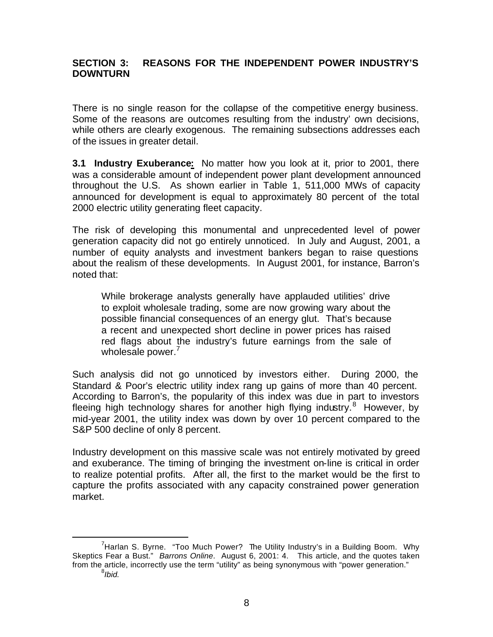# **SECTION 3: REASONS FOR THE INDEPENDENT POWER INDUSTRY'S DOWNTURN**

There is no single reason for the collapse of the competitive energy business. Some of the reasons are outcomes resulting from the industry' own decisions, while others are clearly exogenous. The remaining subsections addresses each of the issues in greater detail.

**3.1 Industry Exuberance:** No matter how you look at it, prior to 2001, there was a considerable amount of independent power plant development announced throughout the U.S. As shown earlier in Table 1, 511,000 MWs of capacity announced for development is equal to approximately 80 percent of the total 2000 electric utility generating fleet capacity.

The risk of developing this monumental and unprecedented level of power generation capacity did not go entirely unnoticed. In July and August, 2001, a number of equity analysts and investment bankers began to raise questions about the realism of these developments. In August 2001, for instance, Barron's noted that:

While brokerage analysts generally have applauded utilities' drive to exploit wholesale trading, some are now growing wary about the possible financial consequences of an energy glut. That's because a recent and unexpected short decline in power prices has raised red flags about the industry's future earnings from the sale of wholesale power.<sup>7</sup>

Such analysis did not go unnoticed by investors either. During 2000, the Standard & Poor's electric utility index rang up gains of more than 40 percent. According to Barron's, the popularity of this index was due in part to investors fleeing high technology shares for another high flying industry.<sup>8</sup> However, by mid-year 2001, the utility index was down by over 10 percent compared to the S&P 500 decline of only 8 percent.

Industry development on this massive scale was not entirely motivated by greed and exuberance. The timing of bringing the investment on-line is critical in order to realize potential profits. After all, the first to the market would be the first to capture the profits associated with any capacity constrained power generation market.

 $<sup>7</sup>$ Harlan S. Byrne. "Too Much Power? The Utility Industry's in a Building Boom. Why</sup> Skeptics Fear a Bust." *Barrons Online*. August 6, 2001: 4. This article, and the quotes taken from the article, incorrectly use the term "utility" as being synonymous with "power generation."

<sup>8</sup> *Ibid.*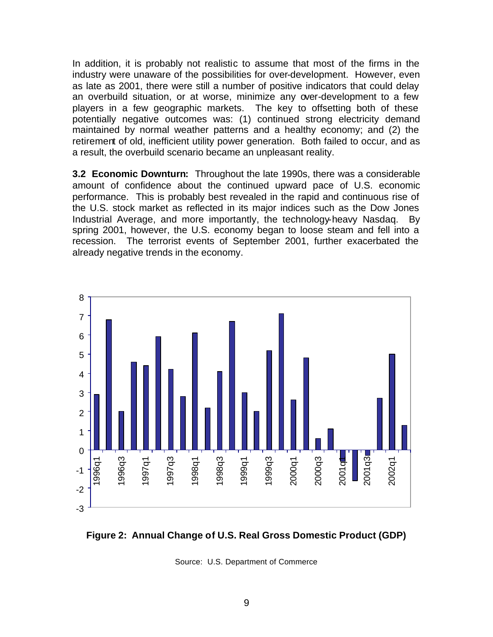In addition, it is probably not realistic to assume that most of the firms in the industry were unaware of the possibilities for over-development. However, even as late as 2001, there were still a number of positive indicators that could delay an overbuild situation, or at worse, minimize any over-development to a few players in a few geographic markets. The key to offsetting both of these potentially negative outcomes was: (1) continued strong electricity demand maintained by normal weather patterns and a healthy economy; and (2) the retirement of old, inefficient utility power generation. Both failed to occur, and as a result, the overbuild scenario became an unpleasant reality.

**3.2 Economic Downturn:** Throughout the late 1990s, there was a considerable amount of confidence about the continued upward pace of U.S. economic performance. This is probably best revealed in the rapid and continuous rise of the U.S. stock market as reflected in its major indices such as the Dow Jones Industrial Average, and more importantly, the technology-heavy Nasdaq. By spring 2001, however, the U.S. economy began to loose steam and fell into a recession. The terrorist events of September 2001, further exacerbated the already negative trends in the economy.





Source: U.S. Department of Commerce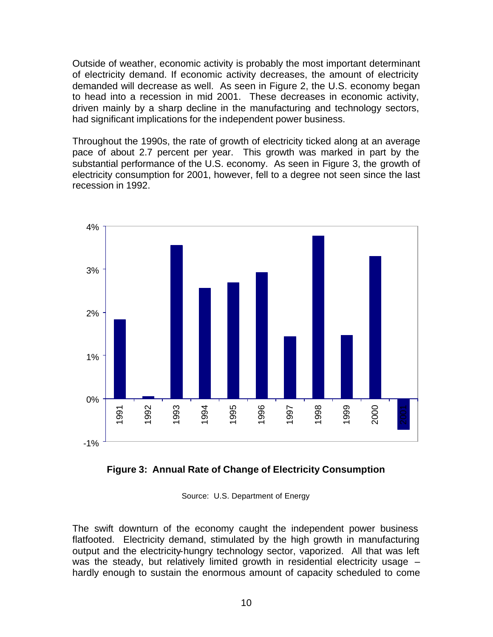Outside of weather, economic activity is probably the most important determinant of electricity demand. If economic activity decreases, the amount of electricity demanded will decrease as well. As seen in Figure 2, the U.S. economy began to head into a recession in mid 2001. These decreases in economic activity, driven mainly by a sharp decline in the manufacturing and technology sectors, had significant implications for the independent power business.

Throughout the 1990s, the rate of growth of electricity ticked along at an average pace of about 2.7 percent per year. This growth was marked in part by the substantial performance of the U.S. economy. As seen in Figure 3, the growth of electricity consumption for 2001, however, fell to a degree not seen since the last recession in 1992.





Source: U.S. Department of Energy

The swift downturn of the economy caught the independent power business flatfooted. Electricity demand, stimulated by the high growth in manufacturing output and the electricity-hungry technology sector, vaporized. All that was left was the steady, but relatively limited growth in residential electricity usage hardly enough to sustain the enormous amount of capacity scheduled to come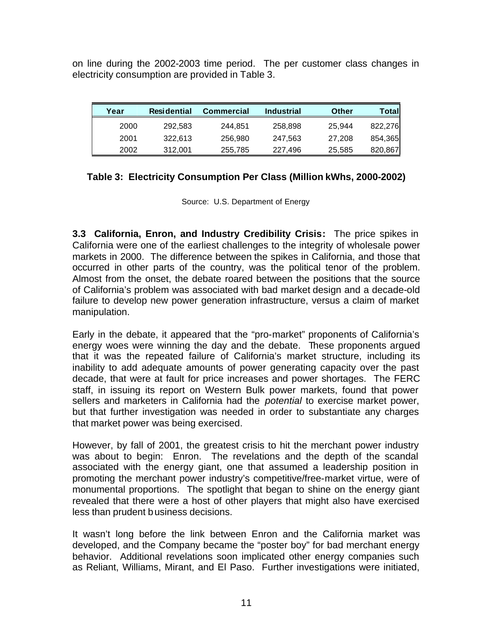on line during the 2002-2003 time period. The per customer class changes in electricity consumption are provided in Table 3.

| Year | <b>Residential</b> | <b>Commercial</b> | <b>Industrial</b> | Other  | Total   |
|------|--------------------|-------------------|-------------------|--------|---------|
| 2000 | 292.583            | 244.851           | 258,898           | 25.944 | 822,276 |
| 2001 | 322.613            | 256,980           | 247.563           | 27.208 | 854,365 |
| 2002 | 312,001            | 255,785           | 227,496           | 25,585 | 820,867 |

# **Table 3: Electricity Consumption Per Class (Million kWhs, 2000-2002)**

Source: U.S. Department of Energy

**3.3 California, Enron, and Industry Credibility Crisis:** The price spikes in California were one of the earliest challenges to the integrity of wholesale power markets in 2000. The difference between the spikes in California, and those that occurred in other parts of the country, was the political tenor of the problem. Almost from the onset, the debate roared between the positions that the source of California's problem was associated with bad market design and a decade-old failure to develop new power generation infrastructure, versus a claim of market manipulation.

Early in the debate, it appeared that the "pro-market" proponents of California's energy woes were winning the day and the debate. These proponents argued that it was the repeated failure of California's market structure, including its inability to add adequate amounts of power generating capacity over the past decade, that were at fault for price increases and power shortages. The FERC staff, in issuing its report on Western Bulk power markets, found that power sellers and marketers in California had the *potential* to exercise market power, but that further investigation was needed in order to substantiate any charges that market power was being exercised.

However, by fall of 2001, the greatest crisis to hit the merchant power industry was about to begin: Enron. The revelations and the depth of the scandal associated with the energy giant, one that assumed a leadership position in promoting the merchant power industry's competitive/free-market virtue, were of monumental proportions. The spotlight that began to shine on the energy giant revealed that there were a host of other players that might also have exercised less than prudent business decisions.

It wasn't long before the link between Enron and the California market was developed, and the Company became the "poster boy" for bad merchant energy behavior. Additional revelations soon implicated other energy companies such as Reliant, Williams, Mirant, and El Paso. Further investigations were initiated,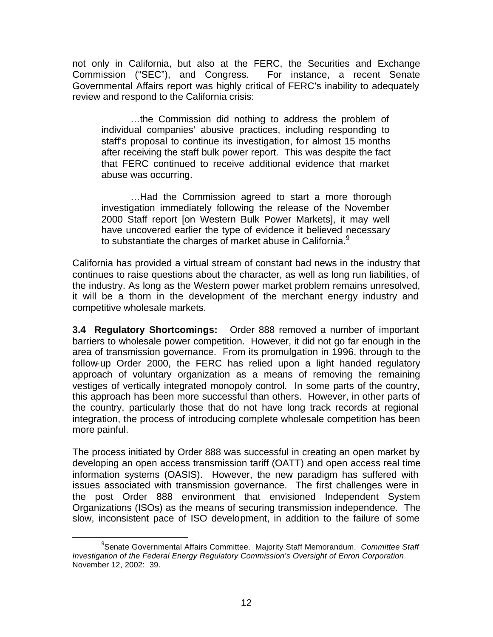not only in California, but also at the FERC, the Securities and Exchange Commission ("SEC"), and Congress. For instance, a recent Senate Governmental Affairs report was highly critical of FERC's inability to adequately review and respond to the California crisis:

…the Commission did nothing to address the problem of individual companies' abusive practices, including responding to staff's proposal to continue its investigation, for almost 15 months after receiving the staff bulk power report. This was despite the fact that FERC continued to receive additional evidence that market abuse was occurring.

…Had the Commission agreed to start a more thorough investigation immediately following the release of the November 2000 Staff report [on Western Bulk Power Markets], it may well have uncovered earlier the type of evidence it believed necessary to substantiate the charges of market abuse in California.<sup>9</sup>

California has provided a virtual stream of constant bad news in the industry that continues to raise questions about the character, as well as long run liabilities, of the industry. As long as the Western power market problem remains unresolved, it will be a thorn in the development of the merchant energy industry and competitive wholesale markets.

**3.4 Regulatory Shortcomings:** Order 888 removed a number of important barriers to wholesale power competition. However, it did not go far enough in the area of transmission governance. From its promulgation in 1996, through to the follow-up Order 2000, the FERC has relied upon a light handed regulatory approach of voluntary organization as a means of removing the remaining vestiges of vertically integrated monopoly control. In some parts of the country, this approach has been more successful than others. However, in other parts of the country, particularly those that do not have long track records at regional integration, the process of introducing complete wholesale competition has been more painful.

The process initiated by Order 888 was successful in creating an open market by developing an open access transmission tariff (OATT) and open access real time information systems (OASIS). However, the new paradigm has suffered with issues associated with transmission governance. The first challenges were in the post Order 888 environment that envisioned Independent System Organizations (ISOs) as the means of securing transmission independence. The slow, inconsistent pace of ISO development, in addition to the failure of some

<sup>9</sup> Senate Governmental Affairs Committee. Majority Staff Memorandum. *Committee Staff Investigation of the Federal Energy Regulatory Commission's Oversight of Enron Corporation*. November 12, 2002: 39.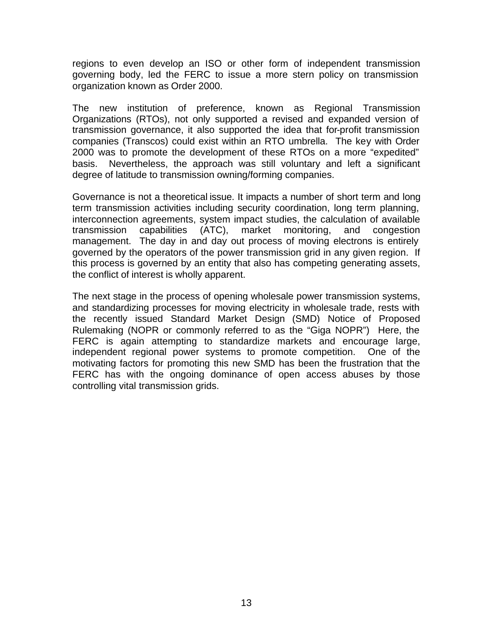regions to even develop an ISO or other form of independent transmission governing body, led the FERC to issue a more stern policy on transmission organization known as Order 2000.

The new institution of preference, known as Regional Transmission Organizations (RTOs), not only supported a revised and expanded version of transmission governance, it also supported the idea that for-profit transmission companies (Transcos) could exist within an RTO umbrella. The key with Order 2000 was to promote the development of these RTOs on a more "expedited" basis. Nevertheless, the approach was still voluntary and left a significant degree of latitude to transmission owning/forming companies.

Governance is not a theoretical issue. It impacts a number of short term and long term transmission activities including security coordination, long term planning, interconnection agreements, system impact studies, the calculation of available<br>transmission capabilities (ATC), market monitoring, and congestion transmission capabilities (ATC), market monitoring, management. The day in and day out process of moving electrons is entirely governed by the operators of the power transmission grid in any given region. If this process is governed by an entity that also has competing generating assets, the conflict of interest is wholly apparent.

The next stage in the process of opening wholesale power transmission systems, and standardizing processes for moving electricity in wholesale trade, rests with the recently issued Standard Market Design (SMD) Notice of Proposed Rulemaking (NOPR or commonly referred to as the "Giga NOPR") Here, the FERC is again attempting to standardize markets and encourage large, independent regional power systems to promote competition. One of the motivating factors for promoting this new SMD has been the frustration that the FERC has with the ongoing dominance of open access abuses by those controlling vital transmission grids.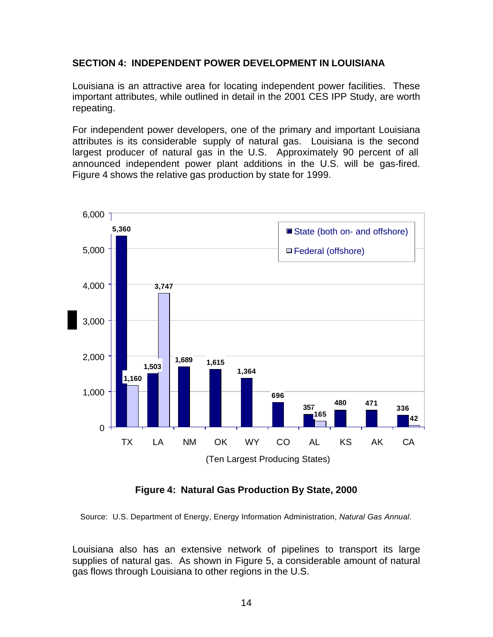## **SECTION 4: INDEPENDENT POWER DEVELOPMENT IN LOUISIANA**

Louisiana is an attractive area for locating independent power facilities. These important attributes, while outlined in detail in the 2001 CES IPP Study, are worth repeating.

For independent power developers, one of the primary and important Louisiana attributes is its considerable supply of natural gas. Louisiana is the second largest producer of natural gas in the U.S. Approximately 90 percent of all announced independent power plant additions in the U.S. will be gas-fired. Figure 4 shows the relative gas production by state for 1999.



**Figure 4: Natural Gas Production By State, 2000**

Source: U.S. Department of Energy, Energy Information Administration, *Natural Gas Annual*.

Louisiana also has an extensive network of pipelines to transport its large supplies of natural gas. As shown in Figure 5, a considerable amount of natural gas flows through Louisiana to other regions in the U.S.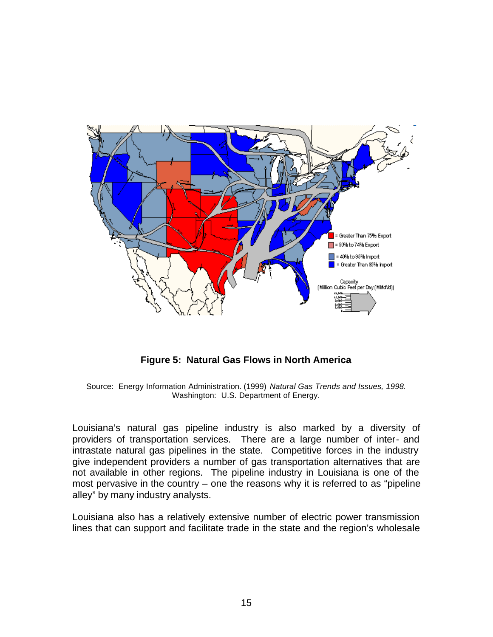

**Figure 5: Natural Gas Flows in North America**

Source: Energy Information Administration. (1999) *Natural Gas Trends and Issues, 1998*. Washington: U.S. Department of Energy.

Louisiana's natural gas pipeline industry is also marked by a diversity of providers of transportation services. There are a large number of inter- and intrastate natural gas pipelines in the state. Competitive forces in the industry give independent providers a number of gas transportation alternatives that are not available in other regions. The pipeline industry in Louisiana is one of the most pervasive in the country – one the reasons why it is referred to as "pipeline alley" by many industry analysts.

Louisiana also has a relatively extensive number of electric power transmission lines that can support and facilitate trade in the state and the region's wholesale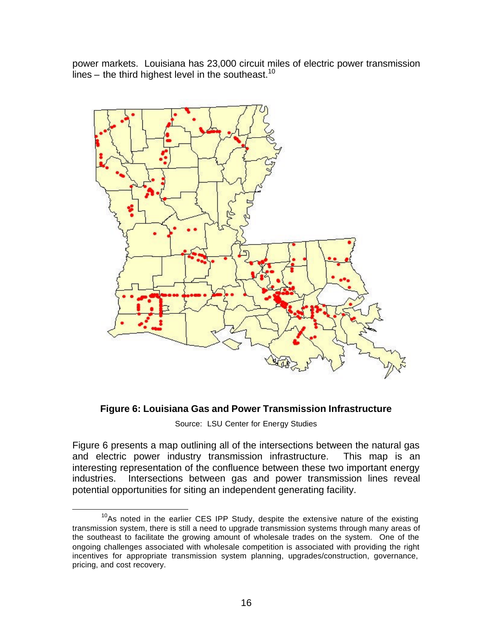power markets. Louisiana has 23,000 circuit miles of electric power transmission lines – the third highest level in the southeast.<sup>10</sup>



#### **Figure 6: Louisiana Gas and Power Transmission Infrastructure**

Source: LSU Center for Energy Studies

Figure 6 presents a map outlining all of the intersections between the natural gas and electric power industry transmission infrastructure. This map is an interesting representation of the confluence between these two important energy industries. Intersections between gas and power transmission lines reveal potential opportunities for siting an independent generating facility.

 $10$ As noted in the earlier CES IPP Study, despite the extensive nature of the existing transmission system, there is still a need to upgrade transmission systems through many areas of the southeast to facilitate the growing amount of wholesale trades on the system. One of the ongoing challenges associated with wholesale competition is associated with providing the right incentives for appropriate transmission system planning, upgrades/construction, governance, pricing, and cost recovery.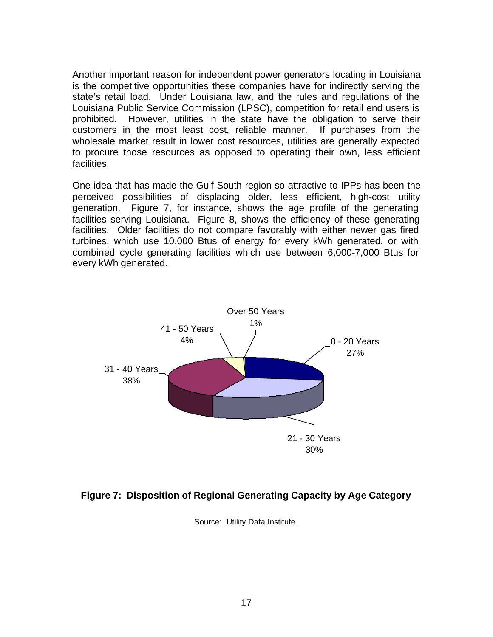Another important reason for independent power generators locating in Louisiana is the competitive opportunities these companies have for indirectly serving the state's retail load. Under Louisiana law, and the rules and regulations of the Louisiana Public Service Commission (LPSC), competition for retail end users is prohibited. However, utilities in the state have the obligation to serve their customers in the most least cost, reliable manner. If purchases from the wholesale market result in lower cost resources, utilities are generally expected to procure those resources as opposed to operating their own, less efficient facilities.

One idea that has made the Gulf South region so attractive to IPPs has been the perceived possibilities of displacing older, less efficient, high-cost utility generation. Figure 7, for instance, shows the age profile of the generating facilities serving Louisiana. Figure 8, shows the efficiency of these generating facilities. Older facilities do not compare favorably with either newer gas fired turbines, which use 10,000 Btus of energy for every kWh generated, or with combined cycle generating facilities which use between 6,000-7,000 Btus for every kWh generated.



#### **Figure 7: Disposition of Regional Generating Capacity by Age Category**

Source: Utility Data Institute.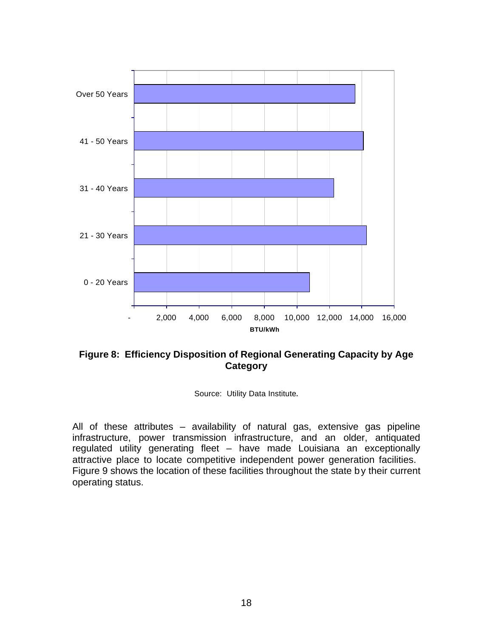

# **Figure 8: Efficiency Disposition of Regional Generating Capacity by Age Category**

Source: Utility Data Institute.

All of these attributes – availability of natural gas, extensive gas pipeline infrastructure, power transmission infrastructure, and an older, antiquated regulated utility generating fleet – have made Louisiana an exceptionally attractive place to locate competitive independent power generation facilities. Figure 9 shows the location of these facilities throughout the state by their current operating status.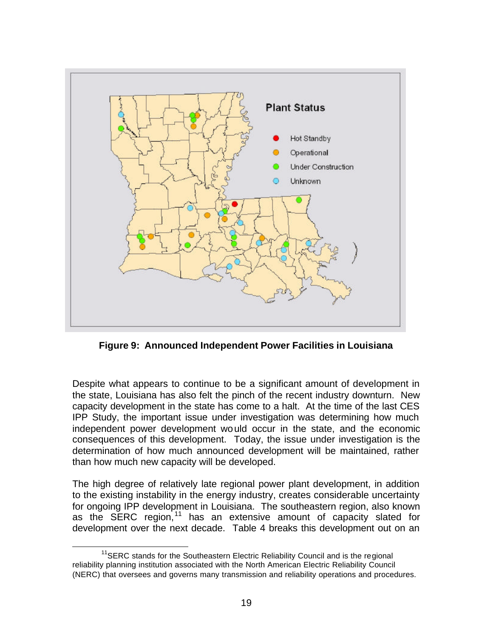

**Figure 9: Announced Independent Power Facilities in Louisiana**

Despite what appears to continue to be a significant amount of development in the state, Louisiana has also felt the pinch of the recent industry downturn. New capacity development in the state has come to a halt. At the time of the last CES IPP Study, the important issue under investigation was determining how much independent power development would occur in the state, and the economic consequences of this development. Today, the issue under investigation is the determination of how much announced development will be maintained, rather than how much new capacity will be developed.

The high degree of relatively late regional power plant development, in addition to the existing instability in the energy industry, creates considerable uncertainty for ongoing IPP development in Louisiana. The southeastern region, also known as the SERC region,  $11$  has an extensive amount of capacity slated for development over the next decade. Table 4 breaks this development out on an

 $\overline{a}$  $11$ SERC stands for the Southeastern Electric Reliability Council and is the regional reliability planning institution associated with the North American Electric Reliability Council (NERC) that oversees and governs many transmission and reliability operations and procedures.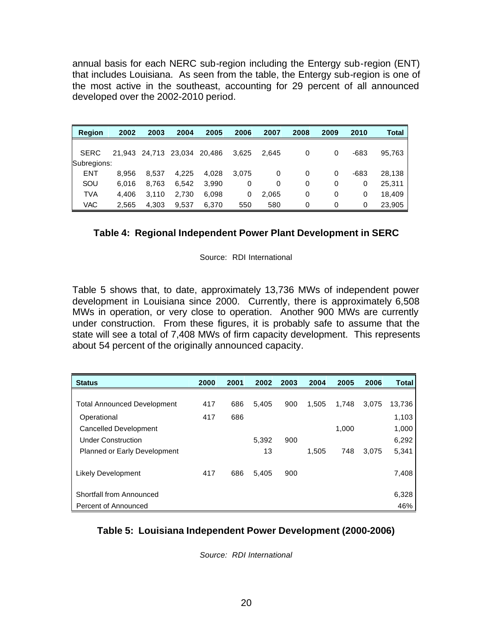annual basis for each NERC sub-region including the Entergy sub-region (ENT) that includes Louisiana. As seen from the table, the Entergy sub-region is one of the most active in the southeast, accounting for 29 percent of all announced developed over the 2002-2010 period.

| <b>Region</b> | 2002  | 2003                        | 2004  | 2005  | 2006  | 2007  | 2008 | 2009 | 2010 | Total  |
|---------------|-------|-----------------------------|-------|-------|-------|-------|------|------|------|--------|
| <b>SERC</b>   |       |                             |       |       |       |       |      |      |      |        |
| Subregions:   |       | 21,943 24,713 23,034 20,486 |       |       | 3,625 | 2,645 | 0    | 0    | -683 | 95.763 |
| <b>ENT</b>    | 8.956 | 8.537                       | 4.225 | 4.028 | 3.075 | 0     | 0    | 0    | -683 | 28.138 |
| SOU           | 6.016 | 8.763                       | 6.542 | 3.990 | 0     | 0     | 0    | 0    | 0    | 25,311 |
| <b>TVA</b>    | 4.406 | 3,110                       | 2,730 | 6,098 | 0     | 2,065 | 0    | 0    | 0    | 18.409 |
| VAC           | 2,565 | 4,303                       | 9,537 | 6.370 | 550   | 580   | 0    | 0    | 0    | 23,905 |

#### **Table 4: Regional Independent Power Plant Development in SERC**

Source: RDI International

Table 5 shows that, to date, approximately 13,736 MWs of independent power development in Louisiana since 2000. Currently, there is approximately 6,508 MWs in operation, or very close to operation. Another 900 MWs are currently under construction. From these figures, it is probably safe to assume that the state will see a total of 7,408 MWs of firm capacity development. This represents about 54 percent of the originally announced capacity.

| <b>Status</b>                       | 2000 | 2001 | 2002  | 2003 | 2004  | 2005  | 2006  | <b>Total</b> |
|-------------------------------------|------|------|-------|------|-------|-------|-------|--------------|
|                                     |      |      |       |      |       |       |       |              |
| <b>Total Announced Development</b>  | 417  | 686  | 5,405 | 900  | 1,505 | 1,748 | 3,075 | 13,736       |
| Operational                         | 417  | 686  |       |      |       |       |       | 1,103        |
| Cancelled Development               |      |      |       |      |       | 1,000 |       | 1,000        |
| <b>Under Construction</b>           |      |      | 5.392 | 900  |       |       |       | 6,292        |
| <b>Planned or Early Development</b> |      |      | 13    |      | 1.505 | 748   | 3.075 | 5,341        |
|                                     |      |      |       |      |       |       |       |              |
| Likely Development                  | 417  | 686  | 5.405 | 900  |       |       |       | 7,408        |
|                                     |      |      |       |      |       |       |       |              |
| Shortfall from Announced            |      |      |       |      |       |       |       | 6,328        |
| Percent of Announced                |      |      |       |      |       |       |       | 46%          |

#### **Table 5: Louisiana Independent Power Development (2000-2006)**

*Source: RDI International*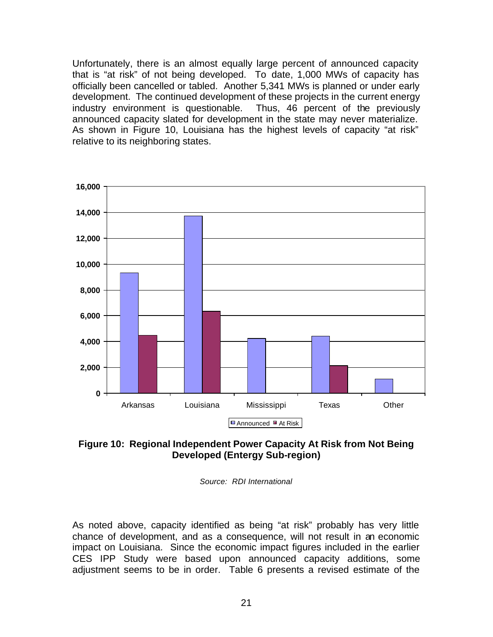Unfortunately, there is an almost equally large percent of announced capacity that is "at risk" of not being developed. To date, 1,000 MWs of capacity has officially been cancelled or tabled. Another 5,341 MWs is planned or under early development. The continued development of these projects in the current energy industry environment is questionable. Thus, 46 percent of the previously announced capacity slated for development in the state may never materialize. As shown in Figure 10, Louisiana has the highest levels of capacity "at risk" relative to its neighboring states.





*Source: RDI International*

As noted above, capacity identified as being "at risk" probably has very little chance of development, and as a consequence, will not result in an economic impact on Louisiana. Since the economic impact figures included in the earlier CES IPP Study were based upon announced capacity additions, some adjustment seems to be in order. Table 6 presents a revised estimate of the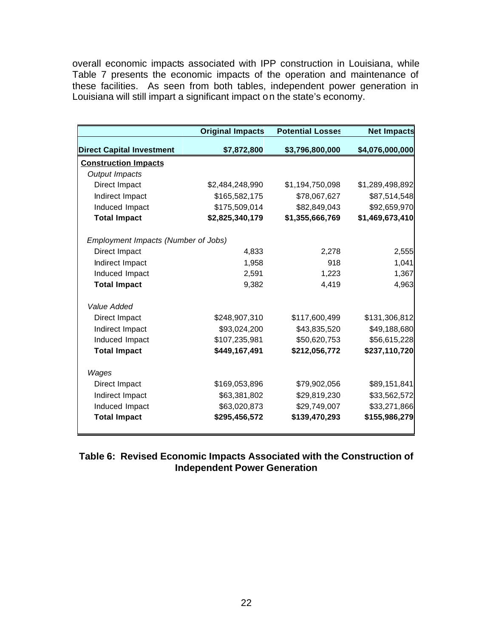overall economic impacts associated with IPP construction in Louisiana, while Table 7 presents the economic impacts of the operation and maintenance of these facilities. As seen from both tables, independent power generation in Louisiana will still impart a significant impact on the state's economy.

|                                     | <b>Original Impacts</b> | <b>Potential Losses</b> | <b>Net Impacts</b> |
|-------------------------------------|-------------------------|-------------------------|--------------------|
| <b>Direct Capital Investment</b>    | \$7,872,800             | \$3,796,800,000         | \$4,076,000,000    |
| <b>Construction Impacts</b>         |                         |                         |                    |
| <b>Output Impacts</b>               |                         |                         |                    |
| Direct Impact                       | \$2,484,248,990         | \$1,194,750,098         | \$1,289,498,892    |
| Indirect Impact                     | \$165,582,175           | \$78,067,627            | \$87,514,548       |
| Induced Impact                      | \$175,509,014           | \$82,849,043            | \$92,659,970       |
| <b>Total Impact</b>                 | \$2,825,340,179         | \$1,355,666,769         | \$1,469,673,410    |
| Employment Impacts (Number of Jobs) |                         |                         |                    |
| Direct Impact                       | 4,833                   | 2,278                   | 2,555              |
| Indirect Impact                     | 1,958                   | 918                     | 1,041              |
| Induced Impact                      | 2,591                   | 1,223                   | 1,367              |
| <b>Total Impact</b>                 | 9,382                   | 4,419                   | 4,963              |
| Value Added                         |                         |                         |                    |
| Direct Impact                       | \$248,907,310           | \$117,600,499           | \$131,306,812      |
| Indirect Impact                     | \$93,024,200            | \$43,835,520            | \$49,188,680       |
| Induced Impact                      | \$107,235,981           | \$50,620,753            | \$56,615,228       |
| <b>Total Impact</b>                 | \$449,167,491           | \$212,056,772           | \$237,110,720      |
| Wages                               |                         |                         |                    |
| Direct Impact                       | \$169,053,896           | \$79,902,056            | \$89,151,841       |
| Indirect Impact                     | \$63,381,802            | \$29,819,230            | \$33,562,572       |
| Induced Impact                      | \$63,020,873            | \$29,749,007            | \$33,271,866       |
| <b>Total Impact</b>                 | \$295,456,572           | \$139,470,293           | \$155,986,279      |

# **Table 6: Revised Economic Impacts Associated with the Construction of Independent Power Generation**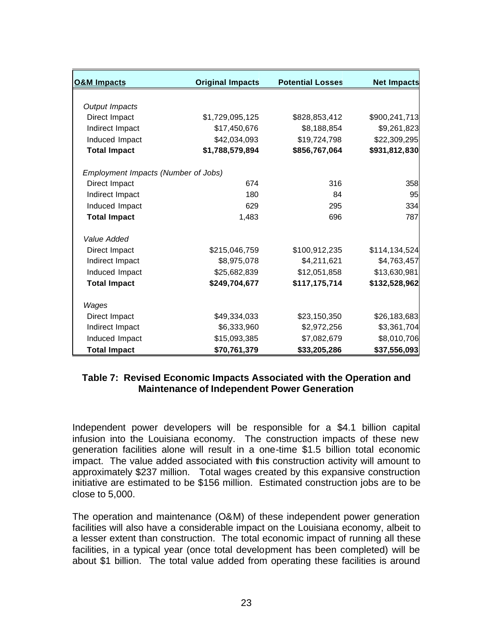| <b>O&amp;M Impacts</b>              | <b>Original Impacts</b> | <b>Potential Losses</b> | <b>Net Impacts</b> |
|-------------------------------------|-------------------------|-------------------------|--------------------|
|                                     |                         |                         |                    |
| Output Impacts                      |                         |                         |                    |
| Direct Impact                       | \$1,729,095,125         | \$828,853,412           | \$900,241,713      |
| Indirect Impact                     | \$17,450,676            | \$8,188,854             | \$9,261,823        |
| Induced Impact                      | \$42,034,093            | \$19,724,798            | \$22,309,295       |
| <b>Total Impact</b>                 | \$1,788,579,894         | \$856,767,064           | \$931,812,830      |
| Employment Impacts (Number of Jobs) |                         |                         |                    |
| Direct Impact                       | 674                     | 316                     | 358                |
| Indirect Impact                     | 180                     | 84                      | 95                 |
| Induced Impact                      | 629                     | 295                     | 334                |
| <b>Total Impact</b>                 | 1,483                   | 696                     | 787                |
| Value Added                         |                         |                         |                    |
| Direct Impact                       | \$215,046,759           | \$100,912,235           | \$114,134,524      |
| Indirect Impact                     | \$8,975,078             | \$4,211,621             | \$4,763,457        |
| Induced Impact                      | \$25,682,839            | \$12,051,858            | \$13,630,981       |
| <b>Total Impact</b>                 | \$249,704,677           | \$117,175,714           | \$132,528,962      |
| Wages                               |                         |                         |                    |
| Direct Impact                       | \$49,334,033            | \$23,150,350            | \$26,183,683       |
| Indirect Impact                     | \$6,333,960             | \$2,972,256             | \$3,361,704        |
| Induced Impact                      | \$15,093,385            | \$7,082,679             | \$8,010,706        |
| <b>Total Impact</b>                 | \$70,761,379            | \$33,205,286            | \$37,556,093       |

#### **Table 7: Revised Economic Impacts Associated with the Operation and Maintenance of Independent Power Generation**

Independent power developers will be responsible for a \$4.1 billion capital infusion into the Louisiana economy. The construction impacts of these new generation facilities alone will result in a one-time \$1.5 billion total economic impact. The value added associated with this construction activity will amount to approximately \$237 million. Total wages created by this expansive construction initiative are estimated to be \$156 million. Estimated construction jobs are to be close to 5,000.

The operation and maintenance (O&M) of these independent power generation facilities will also have a considerable impact on the Louisiana economy, albeit to a lesser extent than construction. The total economic impact of running all these facilities, in a typical year (once total development has been completed) will be about \$1 billion. The total value added from operating these facilities is around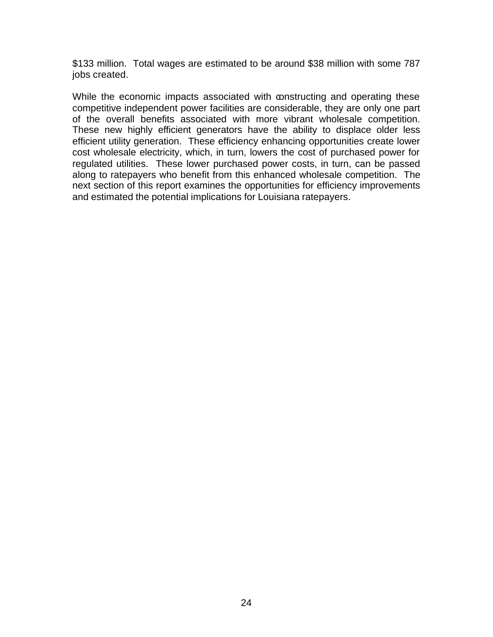\$133 million. Total wages are estimated to be around \$38 million with some 787 jobs created.

While the economic impacts associated with constructing and operating these competitive independent power facilities are considerable, they are only one part of the overall benefits associated with more vibrant wholesale competition. These new highly efficient generators have the ability to displace older less efficient utility generation. These efficiency enhancing opportunities create lower cost wholesale electricity, which, in turn, lowers the cost of purchased power for regulated utilities. These lower purchased power costs, in turn, can be passed along to ratepayers who benefit from this enhanced wholesale competition. The next section of this report examines the opportunities for efficiency improvements and estimated the potential implications for Louisiana ratepayers.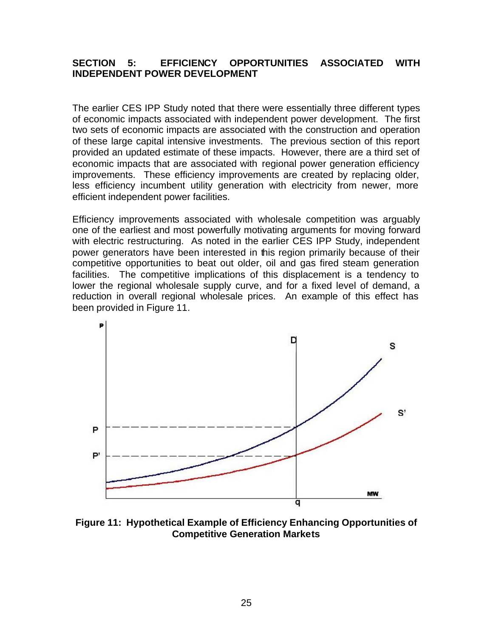# **SECTION 5: EFFICIENCY OPPORTUNITIES ASSOCIATED WITH INDEPENDENT POWER DEVELOPMENT**

The earlier CES IPP Study noted that there were essentially three different types of economic impacts associated with independent power development. The first two sets of economic impacts are associated with the construction and operation of these large capital intensive investments. The previous section of this report provided an updated estimate of these impacts. However, there are a third set of economic impacts that are associated with regional power generation efficiency improvements. These efficiency improvements are created by replacing older, less efficiency incumbent utility generation with electricity from newer, more efficient independent power facilities.

Efficiency improvements associated with wholesale competition was arguably one of the earliest and most powerfully motivating arguments for moving forward with electric restructuring. As noted in the earlier CES IPP Study, independent power generators have been interested in this region primarily because of their competitive opportunities to beat out older, oil and gas fired steam generation facilities. The competitive implications of this displacement is a tendency to lower the regional wholesale supply curve, and for a fixed level of demand, a reduction in overall regional wholesale prices. An example of this effect has been provided in Figure 11.



**Figure 11: Hypothetical Example of Efficiency Enhancing Opportunities of Competitive Generation Markets**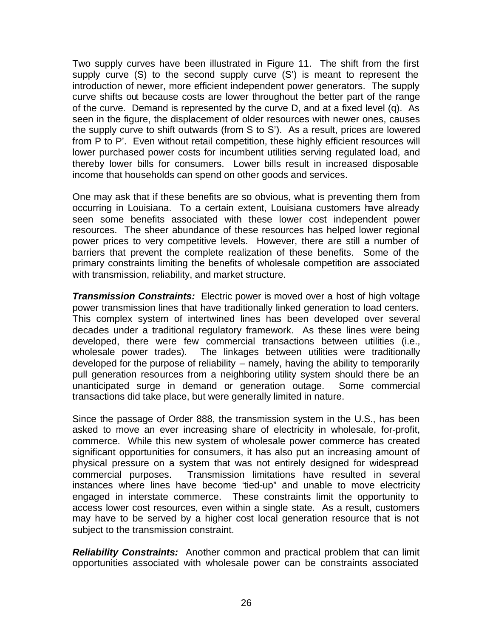Two supply curves have been illustrated in Figure 11. The shift from the first supply curve (S) to the second supply curve (S') is meant to represent the introduction of newer, more efficient independent power generators. The supply curve shifts out because costs are lower throughout the better part of the range of the curve. Demand is represented by the curve D, and at a fixed level (q). As seen in the figure, the displacement of older resources with newer ones, causes the supply curve to shift outwards (from S to S'). As a result, prices are lowered from P to P'. Even without retail competition, these highly efficient resources will lower purchased power costs for incumbent utilities serving regulated load, and thereby lower bills for consumers. Lower bills result in increased disposable income that households can spend on other goods and services.

One may ask that if these benefits are so obvious, what is preventing them from occurring in Louisiana. To a certain extent, Louisiana customers have already seen some benefits associated with these lower cost independent power resources. The sheer abundance of these resources has helped lower regional power prices to very competitive levels. However, there are still a number of barriers that prevent the complete realization of these benefits. Some of the primary constraints limiting the benefits of wholesale competition are associated with transmission, reliability, and market structure.

*Transmission Constraints:* Electric power is moved over a host of high voltage power transmission lines that have traditionally linked generation to load centers. This complex system of intertwined lines has been developed over several decades under a traditional regulatory framework. As these lines were being developed, there were few commercial transactions between utilities (i.e., wholesale power trades). The linkages between utilities were traditionally developed for the purpose of reliability – namely, having the ability to temporarily pull generation resources from a neighboring utility system should there be an unanticipated surge in demand or generation outage. Some commercial transactions did take place, but were generally limited in nature.

Since the passage of Order 888, the transmission system in the U.S., has been asked to move an ever increasing share of electricity in wholesale, for-profit, commerce. While this new system of wholesale power commerce has created significant opportunities for consumers, it has also put an increasing amount of physical pressure on a system that was not entirely designed for widespread commercial purposes. Transmission limitations have resulted in several instances where lines have become 'tied-up" and unable to move electricity engaged in interstate commerce. These constraints limit the opportunity to access lower cost resources, even within a single state. As a result, customers may have to be served by a higher cost local generation resource that is not subject to the transmission constraint.

*Reliability Constraints:* Another common and practical problem that can limit opportunities associated with wholesale power can be constraints associated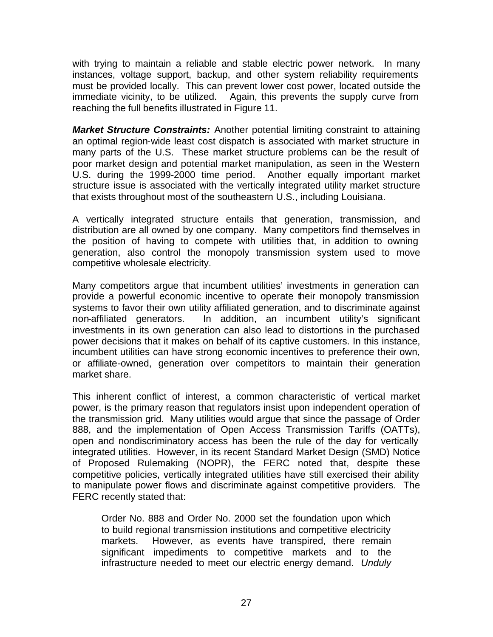with trying to maintain a reliable and stable electric power network. In many instances, voltage support, backup, and other system reliability requirements must be provided locally. This can prevent lower cost power, located outside the immediate vicinity, to be utilized. Again, this prevents the supply curve from reaching the full benefits illustrated in Figure 11.

*Market Structure Constraints:* Another potential limiting constraint to attaining an optimal region-wide least cost dispatch is associated with market structure in many parts of the U.S. These market structure problems can be the result of poor market design and potential market manipulation, as seen in the Western U.S. during the 1999-2000 time period. Another equally important market structure issue is associated with the vertically integrated utility market structure that exists throughout most of the southeastern U.S., including Louisiana.

A vertically integrated structure entails that generation, transmission, and distribution are all owned by one company. Many competitors find themselves in the position of having to compete with utilities that, in addition to owning generation, also control the monopoly transmission system used to move competitive wholesale electricity.

Many competitors argue that incumbent utilities' investments in generation can provide a powerful economic incentive to operate their monopoly transmission systems to favor their own utility affiliated generation, and to discriminate against non-affiliated generators. In addition, an incumbent utility's significant investments in its own generation can also lead to distortions in the purchased power decisions that it makes on behalf of its captive customers. In this instance, incumbent utilities can have strong economic incentives to preference their own, or affiliate-owned, generation over competitors to maintain their generation market share.

This inherent conflict of interest, a common characteristic of vertical market power, is the primary reason that regulators insist upon independent operation of the transmission grid. Many utilities would argue that since the passage of Order 888, and the implementation of Open Access Transmission Tariffs (OATTs), open and nondiscriminatory access has been the rule of the day for vertically integrated utilities. However, in its recent Standard Market Design (SMD) Notice of Proposed Rulemaking (NOPR), the FERC noted that, despite these competitive policies, vertically integrated utilities have still exercised their ability to manipulate power flows and discriminate against competitive providers. The FERC recently stated that:

Order No. 888 and Order No. 2000 set the foundation upon which to build regional transmission institutions and competitive electricity markets. However, as events have transpired, there remain significant impediments to competitive markets and to the infrastructure needed to meet our electric energy demand. *Unduly*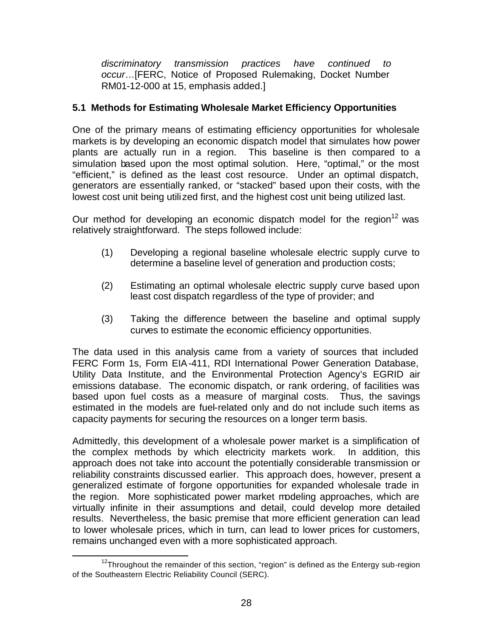*discriminatory transmission practices have continued to occur*…[FERC, Notice of Proposed Rulemaking, Docket Number RM01-12-000 at 15, emphasis added.]

# **5.1 Methods for Estimating Wholesale Market Efficiency Opportunities**

One of the primary means of estimating efficiency opportunities for wholesale markets is by developing an economic dispatch model that simulates how power plants are actually run in a region. This baseline is then compared to a simulation based upon the most optimal solution. Here, "optimal," or the most "efficient," is defined as the least cost resource. Under an optimal dispatch, generators are essentially ranked, or "stacked" based upon their costs, with the lowest cost unit being utilized first, and the highest cost unit being utilized last.

Our method for developing an economic dispatch model for the region<sup>12</sup> was relatively straightforward. The steps followed include:

- (1) Developing a regional baseline wholesale electric supply curve to determine a baseline level of generation and production costs;
- (2) Estimating an optimal wholesale electric supply curve based upon least cost dispatch regardless of the type of provider; and
- (3) Taking the difference between the baseline and optimal supply curves to estimate the economic efficiency opportunities.

The data used in this analysis came from a variety of sources that included FERC Form 1s, Form EIA-411, RDI International Power Generation Database, Utility Data Institute, and the Environmental Protection Agency's EGRID air emissions database. The economic dispatch, or rank ordering, of facilities was based upon fuel costs as a measure of marginal costs. Thus, the savings estimated in the models are fuel-related only and do not include such items as capacity payments for securing the resources on a longer term basis.

Admittedly, this development of a wholesale power market is a simplification of the complex methods by which electricity markets work. In addition, this approach does not take into account the potentially considerable transmission or reliability constraints discussed earlier. This approach does, however, present a generalized estimate of forgone opportunities for expanded wholesale trade in the region. More sophisticated power market modeling approaches, which are virtually infinite in their assumptions and detail, could develop more detailed results. Nevertheless, the basic premise that more efficient generation can lead to lower wholesale prices, which in turn, can lead to lower prices for customers, remains unchanged even with a more sophisticated approach.

 $\overline{a}$  $12$ Throughout the remainder of this section, "region" is defined as the Entergy sub-region of the Southeastern Electric Reliability Council (SERC).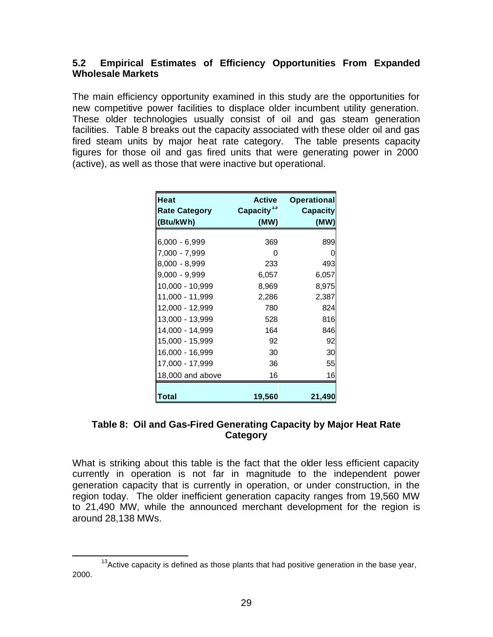# **5.2 Empirical Estimates of Efficiency Opportunities From Expanded Wholesale Markets**

The main efficiency opportunity examined in this study are the opportunities for new competitive power facilities to displace older incumbent utility generation. These older technologies usually consist of oil and gas steam generation facilities. Table 8 breaks out the capacity associated with these older oil and gas fired steam units by major heat rate category. The table presents capacity figures for those oil and gas fired units that were generating power in 2000 (active), as well as those that were inactive but operational.

| <b>Heat</b><br><b>Rate Category</b> | <b>Active</b><br>Capacity <sup>13</sup> | <b>Operational</b><br><b>Capacity</b> |
|-------------------------------------|-----------------------------------------|---------------------------------------|
| (Btu/kWh)                           | (MW)                                    | (MW)                                  |
| $6,000 - 6,999$                     | 369                                     | 899                                   |
| 7,000 - 7,999                       | O                                       | O                                     |
| 8,000 - 8,999                       | 233                                     | 493                                   |
| 9,000 - 9,999                       | 6,057                                   | 6,057                                 |
| 10,000 - 10,999                     | 8,969                                   | 8,975                                 |
| 11,000 - 11,999                     | 2,286                                   | 2,387                                 |
| 12,000 - 12,999                     | 780                                     | 824                                   |
| 13,000 - 13,999                     | 528                                     | 816                                   |
| 14,000 - 14,999                     | 164                                     | 846                                   |
| 15,000 - 15,999                     | 92                                      | 92                                    |
| 16,000 - 16,999                     | 30                                      | 30                                    |
| 17,000 - 17,999                     | 36                                      | 55                                    |
| 18,000 and above                    | 16                                      | 16                                    |
| Total                               | 19,560                                  | 21,490                                |

# **Table 8: Oil and Gas-Fired Generating Capacity by Major Heat Rate Category**

What is striking about this table is the fact that the older less efficient capacity currently in operation is not far in magnitude to the independent power generation capacity that is currently in operation, or under construction, in the region today. The older inefficient generation capacity ranges from 19,560 MW to 21,490 MW, while the announced merchant development for the region is around 28,138 MWs.

 $\overline{a}$  $13$  Active capacity is defined as those plants that had positive generation in the base year, 2000.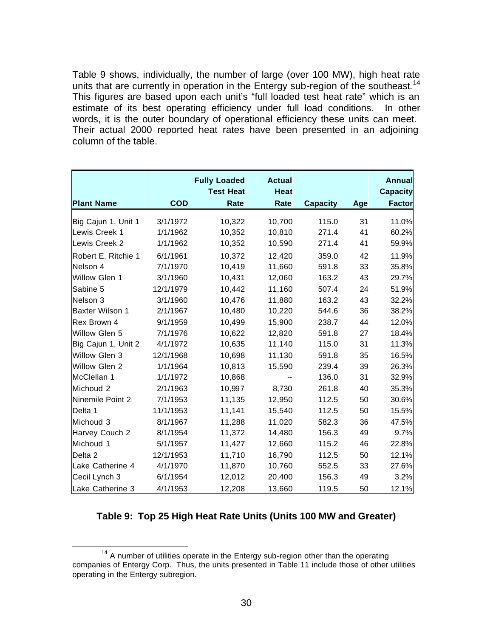Table 9 shows, individually, the number of large (over 100 MW), high heat rate units that are currently in operation in the Entergy sub-region of the southeast.<sup>14</sup> This figures are based upon each unit's "full loaded test heat rate" which is an estimate of its best operating efficiency under full load conditions. In other words, it is the outer boundary of operational efficiency these units can meet. Their actual 2000 reported heat rates have been presented in an adjoining column of the table.

|                        |            | <b>Fully Loaded</b><br><b>Test Heat</b> | <b>Actual</b><br>Heat |                 |     | <b>Annual</b><br><b>Capacity</b> |
|------------------------|------------|-----------------------------------------|-----------------------|-----------------|-----|----------------------------------|
| <b>Plant Name</b>      | <b>COD</b> | Rate                                    | Rate                  | <b>Capacity</b> | Age | <b>Factor</b>                    |
| Big Cajun 1, Unit 1    | 3/1/1972   | 10,322                                  | 10,700                | 115.0           | 31  | 11.0%                            |
| Lewis Creek 1          | 1/1/1962   | 10,352                                  | 10,810                | 271.4           | 41  | 60.2%                            |
| Lewis Creek 2          | 1/1/1962   | 10,352                                  | 10,590                | 271.4           | 41  | 59.9%                            |
| Robert E. Ritchie 1    | 6/1/1961   | 10,372                                  | 12,420                | 359.0           | 42  | 11.9%                            |
| Nelson 4               | 7/1/1970   | 10,419                                  | 11,660                | 591.8           | 33  | 35.8%                            |
| Willow Glen 1          | 3/1/1960   | 10,431                                  | 12,060                | 163.2           | 43  | 29.7%                            |
| Sabine 5               | 12/1/1979  | 10,442                                  | 11,160                | 507.4           | 24  | 51.9%                            |
| Nelson <sub>3</sub>    | 3/1/1960   | 10,476                                  | 11,880                | 163.2           | 43  | 32.2%                            |
| <b>Baxter Wilson 1</b> | 2/1/1967   | 10,480                                  | 10,220                | 544.6           | 36  | 38.2%                            |
| Rex Brown 4            | 9/1/1959   | 10,499                                  | 15,900                | 238.7           | 44  | 12.0%                            |
| Willow Glen 5          | 7/1/1976   | 10,622                                  | 12,820                | 591.8           | 27  | 18.4%                            |
| Big Cajun 1, Unit 2    | 4/1/1972   | 10,635                                  | 11,140                | 115.0           | 31  | 11.3%                            |
| Willow Glen 3          | 12/1/1968  | 10,698                                  | 11,130                | 591.8           | 35  | 16.5%                            |
| Willow Glen 2          | 1/1/1964   | 10,813                                  | 15,590                | 239.4           | 39  | 26.3%                            |
| McClellan 1            | 1/1/1972   | 10,868                                  |                       | 136.0           | 31  | 32.9%                            |
| Michoud 2              | 2/1/1963   | 10,997                                  | 8,730                 | 261.8           | 40  | 35.3%                            |
| Ninemile Point 2       | 7/1/1953   | 11,135                                  | 12,950                | 112.5           | 50  | 30.6%                            |
| Delta 1                | 11/1/1953  | 11,141                                  | 15,540                | 112.5           | 50  | 15.5%                            |
| Michoud 3              | 8/1/1967   | 11,288                                  | 11,020                | 582.3           | 36  | 47.5%                            |
| Harvey Couch 2         | 8/1/1954   | 11,372                                  | 14,480                | 156.3           | 49  | 9.7%                             |
| Michoud 1              | 5/1/1957   | 11,427                                  | 12,660                | 115.2           | 46  | 22.8%                            |
| Delta <sub>2</sub>     | 12/1/1953  | 11,710                                  | 16,790                | 112.5           | 50  | 12.1%                            |
| Lake Catherine 4       | 4/1/1970   | 11,870                                  | 10,760                | 552.5           | 33  | 27.6%                            |
| Cecil Lynch 3          | 6/1/1954   | 12,012                                  | 20,400                | 156.3           | 49  | 3.2%                             |
| Lake Catherine 3       | 4/1/1953   | 12,208                                  | 13,660                | 119.5           | 50  | 12.1%                            |

#### **Table 9: Top 25 High Heat Rate Units (Units 100 MW and Greater)**

 $\overline{a}$  $14$  A number of utilities operate in the Entergy sub-region other than the operating companies of Entergy Corp. Thus, the units presented in Table 11 include those of other utilities operating in the Entergy subregion.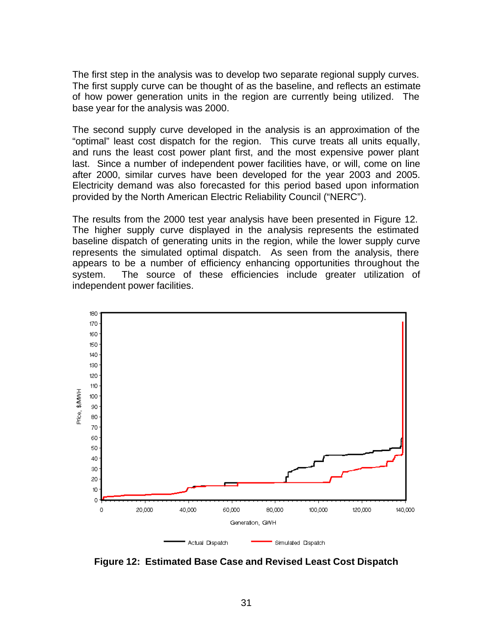The first step in the analysis was to develop two separate regional supply curves. The first supply curve can be thought of as the baseline, and reflects an estimate of how power generation units in the region are currently being utilized. The base year for the analysis was 2000.

The second supply curve developed in the analysis is an approximation of the "optimal" least cost dispatch for the region. This curve treats all units equally, and runs the least cost power plant first, and the most expensive power plant last. Since a number of independent power facilities have, or will, come on line after 2000, similar curves have been developed for the year 2003 and 2005. Electricity demand was also forecasted for this period based upon information provided by the North American Electric Reliability Council ("NERC").

The results from the 2000 test year analysis have been presented in Figure 12. The higher supply curve displayed in the analysis represents the estimated baseline dispatch of generating units in the region, while the lower supply curve represents the simulated optimal dispatch. As seen from the analysis, there appears to be a number of efficiency enhancing opportunities throughout the system. The source of these efficiencies include greater utilization of independent power facilities.



**Figure 12: Estimated Base Case and Revised Least Cost Dispatch**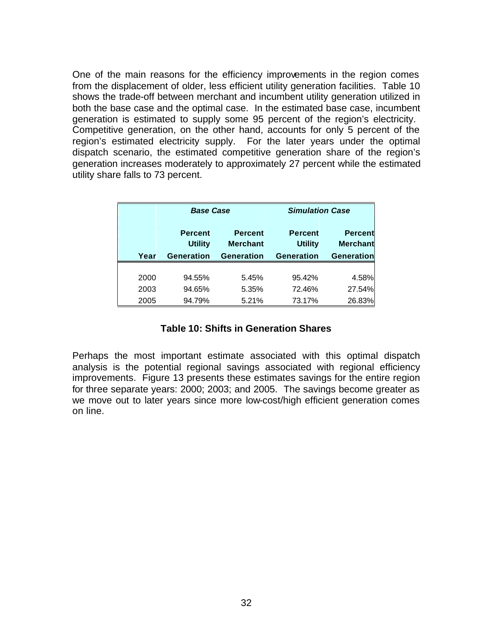One of the main reasons for the efficiency improvements in the region comes from the displacement of older, less efficient utility generation facilities. Table 10 shows the trade-off between merchant and incumbent utility generation utilized in both the base case and the optimal case. In the estimated base case, incumbent generation is estimated to supply some 95 percent of the region's electricity. Competitive generation, on the other hand, accounts for only 5 percent of the region's estimated electricity supply. For the later years under the optimal dispatch scenario, the estimated competitive generation share of the region's generation increases moderately to approximately 27 percent while the estimated utility share falls to 73 percent.

|      | <b>Base Case</b>  |                   | <b>Simulation Case</b> |                   |  |
|------|-------------------|-------------------|------------------------|-------------------|--|
|      | <b>Percent</b>    | <b>Percent</b>    | <b>Percent</b>         | <b>Percent</b>    |  |
|      | <b>Utility</b>    | <b>Merchant</b>   | <b>Utility</b>         | <b>Merchant</b>   |  |
| Year | <b>Generation</b> | <b>Generation</b> | <b>Generation</b>      | <b>Generation</b> |  |
|      |                   |                   |                        |                   |  |
| 2000 | 94.55%            | 5.45%             | 95.42%                 | 4.58%             |  |
| 2003 | 94.65%            | 5.35%             | 72.46%                 | 27.54%            |  |
| 2005 | 94.79%            | 5.21%             | 73.17%                 | 26.83%            |  |

# **Table 10: Shifts in Generation Shares**

Perhaps the most important estimate associated with this optimal dispatch analysis is the potential regional savings associated with regional efficiency improvements. Figure 13 presents these estimates savings for the entire region for three separate years: 2000; 2003; and 2005. The savings become greater as we move out to later years since more low-cost/high efficient generation comes on line.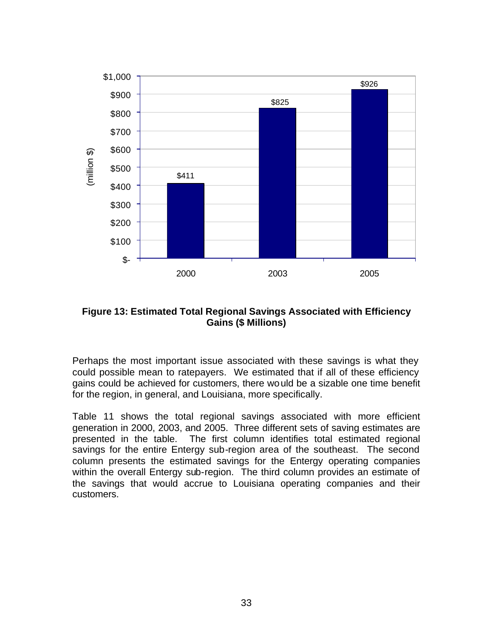

**Figure 13: Estimated Total Regional Savings Associated with Efficiency Gains (\$ Millions)**

Perhaps the most important issue associated with these savings is what they could possible mean to ratepayers. We estimated that if all of these efficiency gains could be achieved for customers, there would be a sizable one time benefit for the region, in general, and Louisiana, more specifically.

Table 11 shows the total regional savings associated with more efficient generation in 2000, 2003, and 2005. Three different sets of saving estimates are presented in the table. The first column identifies total estimated regional savings for the entire Entergy sub-region area of the southeast. The second column presents the estimated savings for the Entergy operating companies within the overall Entergy sub-region. The third column provides an estimate of the savings that would accrue to Louisiana operating companies and their customers.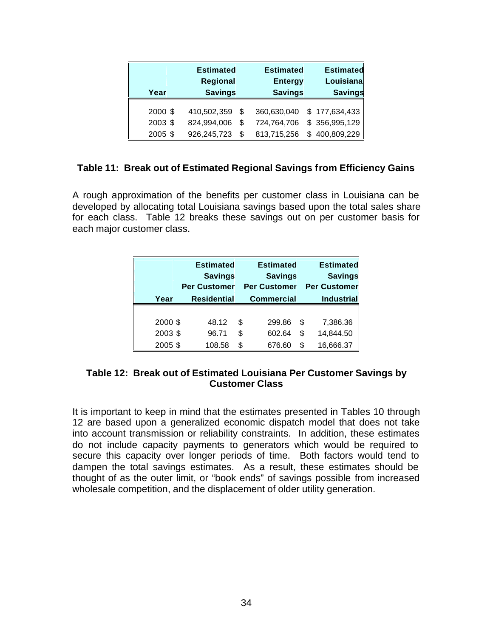| Year    | <b>Estimated</b> |   | <b>Estimated</b> |   | <b>Estimated</b> |  |
|---------|------------------|---|------------------|---|------------------|--|
|         | Regional         |   | <b>Entergy</b>   |   | Louisiana        |  |
|         | <b>Savings</b>   |   | <b>Savings</b>   |   | <b>Savings</b>   |  |
| 2000 \$ | 410,502,359      | S | 360,630,040      |   | \$177,634,433    |  |
| 2003 \$ | 824,994,006      | S | 724,764,706      |   | \$356,995,129    |  |
| 2005 \$ | 926,245,723      | S | 813,715,256      | S | 400,809,229      |  |

#### **Table 11: Break out of Estimated Regional Savings from Efficiency Gains**

A rough approximation of the benefits per customer class in Louisiana can be developed by allocating total Louisiana savings based upon the total sales share for each class. Table 12 breaks these savings out on per customer basis for each major customer class.

|         | <b>Estimated</b><br><b>Savings</b> |    | <b>Estimated</b><br><b>Savings</b> |    | <b>Estimated</b><br><b>Savings</b> |
|---------|------------------------------------|----|------------------------------------|----|------------------------------------|
|         | <b>Per Customer</b>                |    | <b>Per Customer</b>                |    | <b>Per Customer</b>                |
| Year    | <b>Residential</b>                 |    | <b>Commercial</b>                  |    | <b>Industrial</b>                  |
|         |                                    |    |                                    |    |                                    |
| 2000 \$ | 48.12                              | S  | 299.86                             | \$ | 7,386.36                           |
| 2003 \$ | 96.71                              | \$ | 602.64                             | \$ | 14,844.50                          |
| 2005 \$ | 108.58                             | S  | 676.60                             | S  | 16,666.37                          |

#### **Table 12: Break out of Estimated Louisiana Per Customer Savings by Customer Class**

It is important to keep in mind that the estimates presented in Tables 10 through 12 are based upon a generalized economic dispatch model that does not take into account transmission or reliability constraints. In addition, these estimates do not include capacity payments to generators which would be required to secure this capacity over longer periods of time. Both factors would tend to dampen the total savings estimates. As a result, these estimates should be thought of as the outer limit, or "book ends" of savings possible from increased wholesale competition, and the displacement of older utility generation.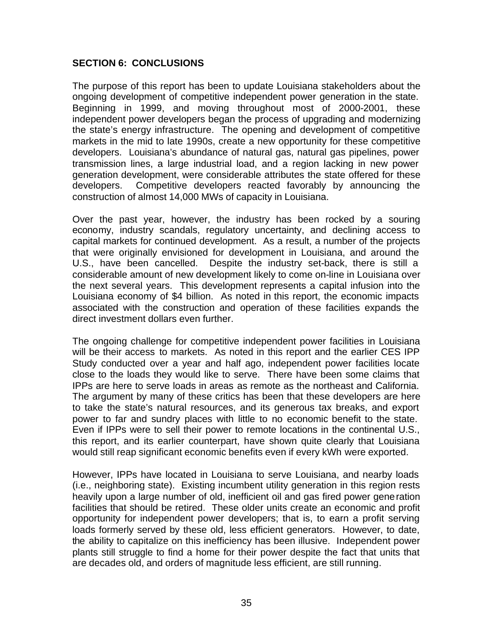# **SECTION 6: CONCLUSIONS**

The purpose of this report has been to update Louisiana stakeholders about the ongoing development of competitive independent power generation in the state. Beginning in 1999, and moving throughout most of 2000-2001, these independent power developers began the process of upgrading and modernizing the state's energy infrastructure. The opening and development of competitive markets in the mid to late 1990s, create a new opportunity for these competitive developers. Louisiana's abundance of natural gas, natural gas pipelines, power transmission lines, a large industrial load, and a region lacking in new power generation development, were considerable attributes the state offered for these developers. Competitive developers reacted favorably by announcing the construction of almost 14,000 MWs of capacity in Louisiana.

Over the past year, however, the industry has been rocked by a souring economy, industry scandals, regulatory uncertainty, and declining access to capital markets for continued development. As a result, a number of the projects that were originally envisioned for development in Louisiana, and around the U.S., have been cancelled. Despite the industry set-back, there is still a considerable amount of new development likely to come on-line in Louisiana over the next several years. This development represents a capital infusion into the Louisiana economy of \$4 billion. As noted in this report, the economic impacts associated with the construction and operation of these facilities expands the direct investment dollars even further.

The ongoing challenge for competitive independent power facilities in Louisiana will be their access to markets. As noted in this report and the earlier CES IPP Study conducted over a year and half ago, independent power facilities locate close to the loads they would like to serve. There have been some claims that IPPs are here to serve loads in areas as remote as the northeast and California. The argument by many of these critics has been that these developers are here to take the state's natural resources, and its generous tax breaks, and export power to far and sundry places with little to no economic benefit to the state. Even if IPPs were to sell their power to remote locations in the continental U.S., this report, and its earlier counterpart, have shown quite clearly that Louisiana would still reap significant economic benefits even if every kWh were exported.

However, IPPs have located in Louisiana to serve Louisiana, and nearby loads (i.e., neighboring state). Existing incumbent utility generation in this region rests heavily upon a large number of old, inefficient oil and gas fired power generation facilities that should be retired. These older units create an economic and profit opportunity for independent power developers; that is, to earn a profit serving loads formerly served by these old, less efficient generators. However, to date, the ability to capitalize on this inefficiency has been illusive. Independent power plants still struggle to find a home for their power despite the fact that units that are decades old, and orders of magnitude less efficient, are still running.